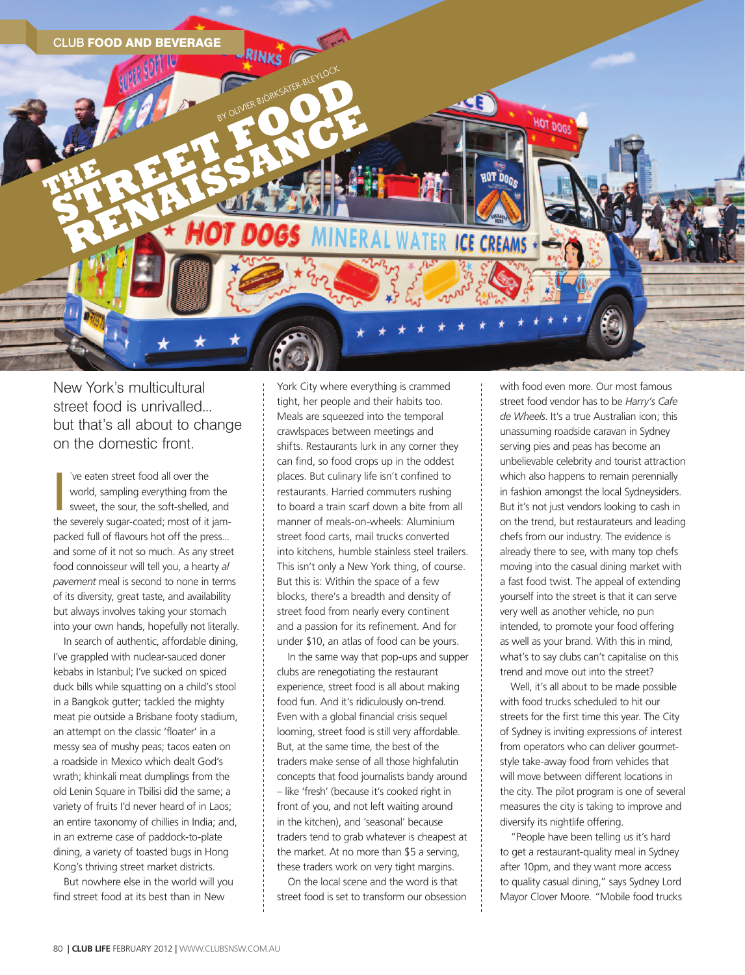

New York's multicultural street food is unrivalled... but that's all about to change on the domestic front.

I've eaten street food all over the<br>
world, sampling everything from the<br>
sweet, the sour, the soft-shelled, and<br>
the severely sugar-coated; most of it jam-'ve eaten street food all over the world, sampling everything from the sweet, the sour, the soft-shelled, and packed full of flavours hot off the press... and some of it not so much. As any street food connoisseur will tell you, a hearty *al pavement* meal is second to none in terms of its diversity, great taste, and availability but always involves taking your stomach into your own hands, hopefully not literally.

In search of authentic, affordable dining, I've grappled with nuclear-sauced doner kebabs in Istanbul; I've sucked on spiced duck bills while squatting on a child's stool in a Bangkok gutter; tackled the mighty meat pie outside a Brisbane footy stadium, an attempt on the classic 'floater' in a messy sea of mushy peas; tacos eaten on a roadside in Mexico which dealt God's wrath; khinkali meat dumplings from the old Lenin Square in Tbilisi did the same; a variety of fruits I'd never heard of in Laos; an entire taxonomy of chillies in India; and, in an extreme case of paddock-to-plate dining, a variety of toasted bugs in Hong Kong's thriving street market districts.

But nowhere else in the world will you find street food at its best than in New

York City where everything is crammed tight, her people and their habits too. Meals are squeezed into the temporal crawlspaces between meetings and shifts. Restaurants lurk in any corner they can find, so food crops up in the oddest places. But culinary life isn't confined to restaurants. Harried commuters rushing to board a train scarf down a bite from all manner of meals-on-wheels: Aluminium street food carts, mail trucks converted into kitchens, humble stainless steel trailers. This isn't only a New York thing, of course. But this is: Within the space of a few blocks, there's a breadth and density of street food from nearly every continent and a passion for its refinement. And for under \$10, an atlas of food can be yours.

In the same way that pop-ups and supper clubs are renegotiating the restaurant experience, street food is all about making food fun. And it's ridiculously on-trend. Even with a global financial crisis sequel looming, street food is still very affordable. But, at the same time, the best of the traders make sense of all those highfalutin concepts that food journalists bandy around – like 'fresh' (because it's cooked right in front of you, and not left waiting around in the kitchen), and 'seasonal' because traders tend to grab whatever is cheapest at the market. At no more than \$5 a serving, these traders work on very tight margins.

On the local scene and the word is that street food is set to transform our obsession with food even more. Our most famous street food vendor has to be *Harry's Cafe de Wheels*. It's a true Australian icon; this unassuming roadside caravan in Sydney serving pies and peas has become an unbelievable celebrity and tourist attraction which also happens to remain perennially in fashion amongst the local Sydneysiders. But it's not just vendors looking to cash in on the trend, but restaurateurs and leading chefs from our industry. The evidence is already there to see, with many top chefs moving into the casual dining market with a fast food twist. The appeal of extending yourself into the street is that it can serve very well as another vehicle, no pun intended, to promote your food offering as well as your brand. With this in mind, what's to say clubs can't capitalise on this trend and move out into the street?

Well, it's all about to be made possible with food trucks scheduled to hit our streets for the first time this year. The City of Sydney is inviting expressions of interest from operators who can deliver gourmetstyle take-away food from vehicles that will move between different locations in the city. The pilot program is one of several measures the city is taking to improve and diversify its nightlife offering.

"People have been telling us it's hard to get a restaurant-quality meal in Sydney after 10pm, and they want more access to quality casual dining," says Sydney Lord Mayor Clover Moore. "Mobile food trucks